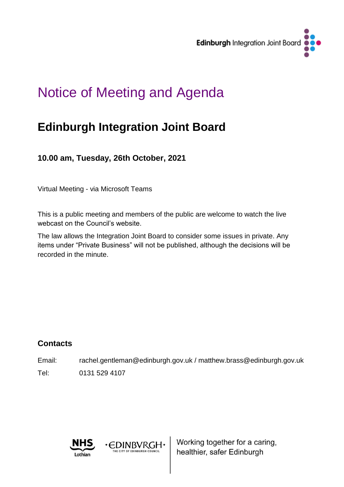

# Notice of Meeting and Agenda

# **Edinburgh Integration Joint Board**

**10.00 am, Tuesday, 26th October, 2021**

Virtual Meeting - via Microsoft Teams

This is a public meeting and members of the public are welcome to watch the live webcast on the Council's website.

The law allows the Integration Joint Board to consider some issues in private. Any items under "Private Business" will not be published, although the decisions will be recorded in the minute.

# **Contacts**

Email: rachel.gentleman@edinburgh.gov.uk / matthew.brass@edinburgh.gov.uk Tel: 0131 529 4107

· EDINBVRGH·

HE CITY OF EDINBURGH COUNCIL



Working together for a caring, healthier, safer Edinburgh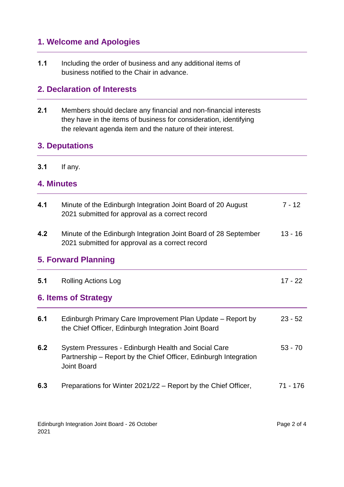# **1. Welcome and Apologies**

**1.1** Including the order of business and any additional items of business notified to the Chair in advance.

# **2. Declaration of Interests**

**2.1** Members should declare any financial and non-financial interests they have in the items of business for consideration, identifying the relevant agenda item and the nature of their interest.

# **3. Deputations**

**3.1** If any.

#### **4. Minutes**

| 4.1                        | Minute of the Edinburgh Integration Joint Board of 20 August<br>2021 submitted for approval as a correct record                               | $7 - 12$  |  |  |
|----------------------------|-----------------------------------------------------------------------------------------------------------------------------------------------|-----------|--|--|
| 4.2                        | Minute of the Edinburgh Integration Joint Board of 28 September<br>2021 submitted for approval as a correct record                            | $13 - 16$ |  |  |
| <b>5. Forward Planning</b> |                                                                                                                                               |           |  |  |
| 5.1                        | <b>Rolling Actions Log</b>                                                                                                                    | $17 - 22$ |  |  |
| 6. Items of Strategy       |                                                                                                                                               |           |  |  |
| 6.1                        | Edinburgh Primary Care Improvement Plan Update – Report by<br>the Chief Officer, Edinburgh Integration Joint Board                            | $23 - 52$ |  |  |
| 6.2                        | System Pressures - Edinburgh Health and Social Care<br>Partnership – Report by the Chief Officer, Edinburgh Integration<br><b>Joint Board</b> | $53 - 70$ |  |  |
| 6.3                        | Preparations for Winter 2021/22 - Report by the Chief Officer,                                                                                | 71 - 176  |  |  |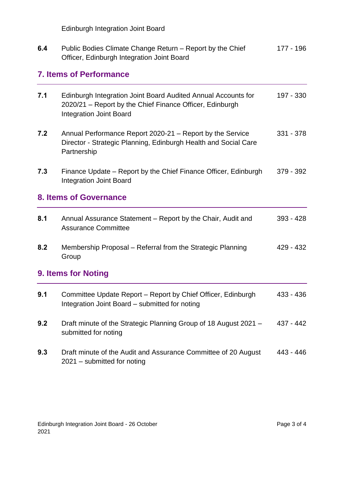Edinburgh Integration Joint Board

| 6.4 | Public Bodies Climate Change Return – Report by the Chief | 177 - 196 |
|-----|-----------------------------------------------------------|-----------|
|     | Officer, Edinburgh Integration Joint Board                |           |

# **7. Items of Performance**

| 7.1 | Edinburgh Integration Joint Board Audited Annual Accounts for<br>2020/21 - Report by the Chief Finance Officer, Edinburgh<br><b>Integration Joint Board</b> | 197 - 330   |
|-----|-------------------------------------------------------------------------------------------------------------------------------------------------------------|-------------|
| 7.2 | Annual Performance Report 2020-21 - Report by the Service<br>Director - Strategic Planning, Edinburgh Health and Social Care<br>Partnership                 | 331 - 378   |
| 7.3 | Finance Update – Report by the Chief Finance Officer, Edinburgh<br><b>Integration Joint Board</b>                                                           | 379 - 392   |
|     | <b>8. Items of Governance</b>                                                                                                                               |             |
| 8.1 | Annual Assurance Statement - Report by the Chair, Audit and<br><b>Assurance Committee</b>                                                                   | $393 - 428$ |
| 8.2 | Membership Proposal – Referral from the Strategic Planning<br>Group                                                                                         | 429 - 432   |
|     | 9. Items for Noting                                                                                                                                         |             |
| 9.1 | Committee Update Report - Report by Chief Officer, Edinburgh<br>Integration Joint Board - submitted for noting                                              | 433 - 436   |
| 9.2 | Draft minute of the Strategic Planning Group of 18 August 2021 -<br>submitted for noting                                                                    | 437 - 442   |
| 9.3 | Draft minute of the Audit and Assurance Committee of 20 August<br>2021 - submitted for noting                                                               | 443 - 446   |